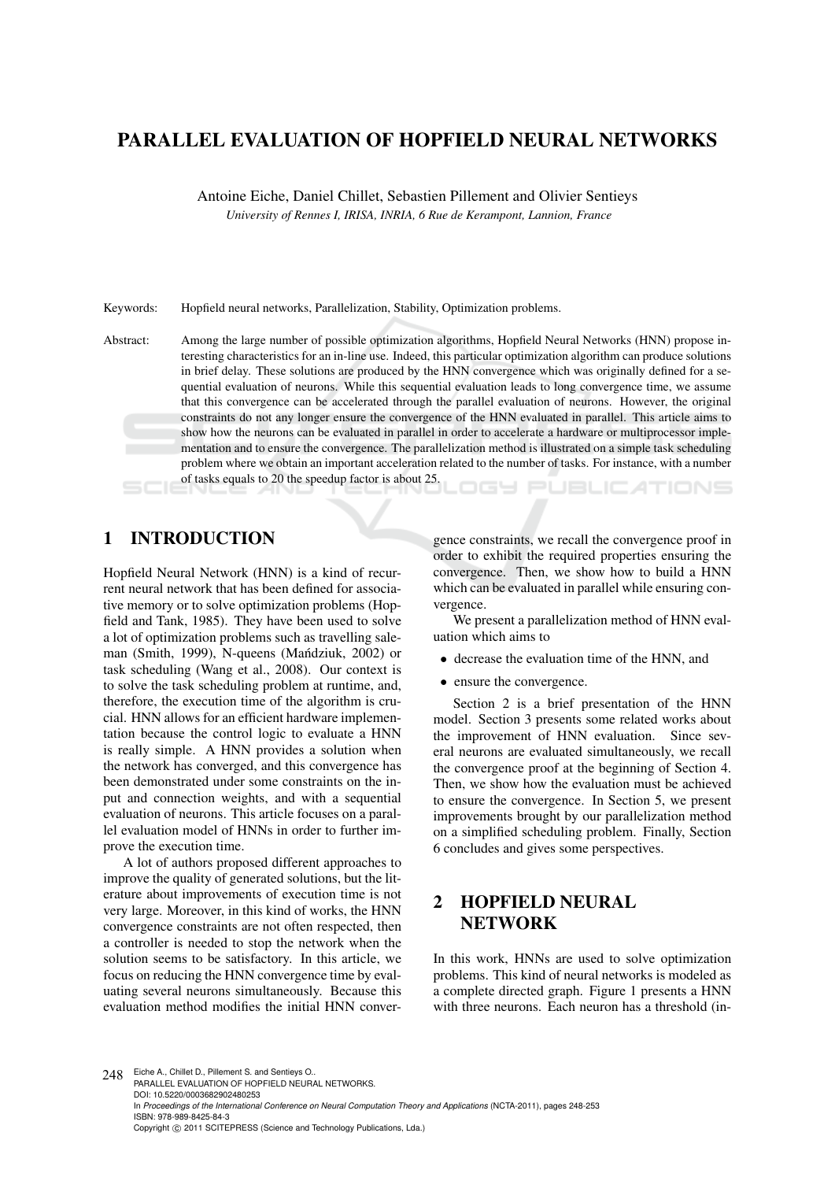# PARALLEL EVALUATION OF HOPFIELD NEURAL NETWORKS

Antoine Eiche, Daniel Chillet, Sebastien Pillement and Olivier Sentieys *University of Rennes I, IRISA, INRIA, 6 Rue de Kerampont, Lannion, France*

Keywords: Hopfield neural networks, Parallelization, Stability, Optimization problems.

Abstract: Among the large number of possible optimization algorithms, Hopfield Neural Networks (HNN) propose interesting characteristics for an in-line use. Indeed, this particular optimization algorithm can produce solutions in brief delay. These solutions are produced by the HNN convergence which was originally defined for a sequential evaluation of neurons. While this sequential evaluation leads to long convergence time, we assume that this convergence can be accelerated through the parallel evaluation of neurons. However, the original constraints do not any longer ensure the convergence of the HNN evaluated in parallel. This article aims to show how the neurons can be evaluated in parallel in order to accelerate a hardware or multiprocessor implementation and to ensure the convergence. The parallelization method is illustrated on a simple task scheduling problem where we obtain an important acceleration related to the number of tasks. For instance, with a number of tasks equals to 20 the speedup factor is about 25. nas **JBLIC ATIONS** 

## 1 INTRODUCTION

Hopfield Neural Network (HNN) is a kind of recurrent neural network that has been defined for associative memory or to solve optimization problems (Hopfield and Tank, 1985). They have been used to solve a lot of optimization problems such as travelling saleman (Smith, 1999), N-queens (Mandziuk, 2002) or task scheduling (Wang et al., 2008). Our context is to solve the task scheduling problem at runtime, and, therefore, the execution time of the algorithm is crucial. HNN allows for an efficient hardware implementation because the control logic to evaluate a HNN is really simple. A HNN provides a solution when the network has converged, and this convergence has been demonstrated under some constraints on the input and connection weights, and with a sequential evaluation of neurons. This article focuses on a parallel evaluation model of HNNs in order to further improve the execution time.

A lot of authors proposed different approaches to improve the quality of generated solutions, but the literature about improvements of execution time is not very large. Moreover, in this kind of works, the HNN convergence constraints are not often respected, then a controller is needed to stop the network when the solution seems to be satisfactory. In this article, we focus on reducing the HNN convergence time by evaluating several neurons simultaneously. Because this evaluation method modifies the initial HNN conver-

gence constraints, we recall the convergence proof in order to exhibit the required properties ensuring the convergence. Then, we show how to build a HNN which can be evaluated in parallel while ensuring convergence.

We present a parallelization method of HNN evaluation which aims to

- decrease the evaluation time of the HNN, and
- ensure the convergence.

Section 2 is a brief presentation of the HNN model. Section 3 presents some related works about the improvement of HNN evaluation. Since several neurons are evaluated simultaneously, we recall the convergence proof at the beginning of Section 4. Then, we show how the evaluation must be achieved to ensure the convergence. In Section 5, we present improvements brought by our parallelization method on a simplified scheduling problem. Finally, Section 6 concludes and gives some perspectives.

# 2 HOPFIELD NEURAL NETWORK

In this work, HNNs are used to solve optimization problems. This kind of neural networks is modeled as a complete directed graph. Figure 1 presents a HNN with three neurons. Each neuron has a threshold (in-

248 Eiche A., Chillet D., Pillement S. and Sentieys O. PARALLEL EVALUATION OF HOPFIELD NEURAL NETWORKS. DOI: 10.5220/0003682902480253 In *Proceedings of the International Conference on Neural Computation Theory and Applications* (NCTA-2011), pages 248-253 ISBN: 978-989-8425-84-3 Copyright © 2011 SCITEPRESS (Science and Technology Publications, Lda.)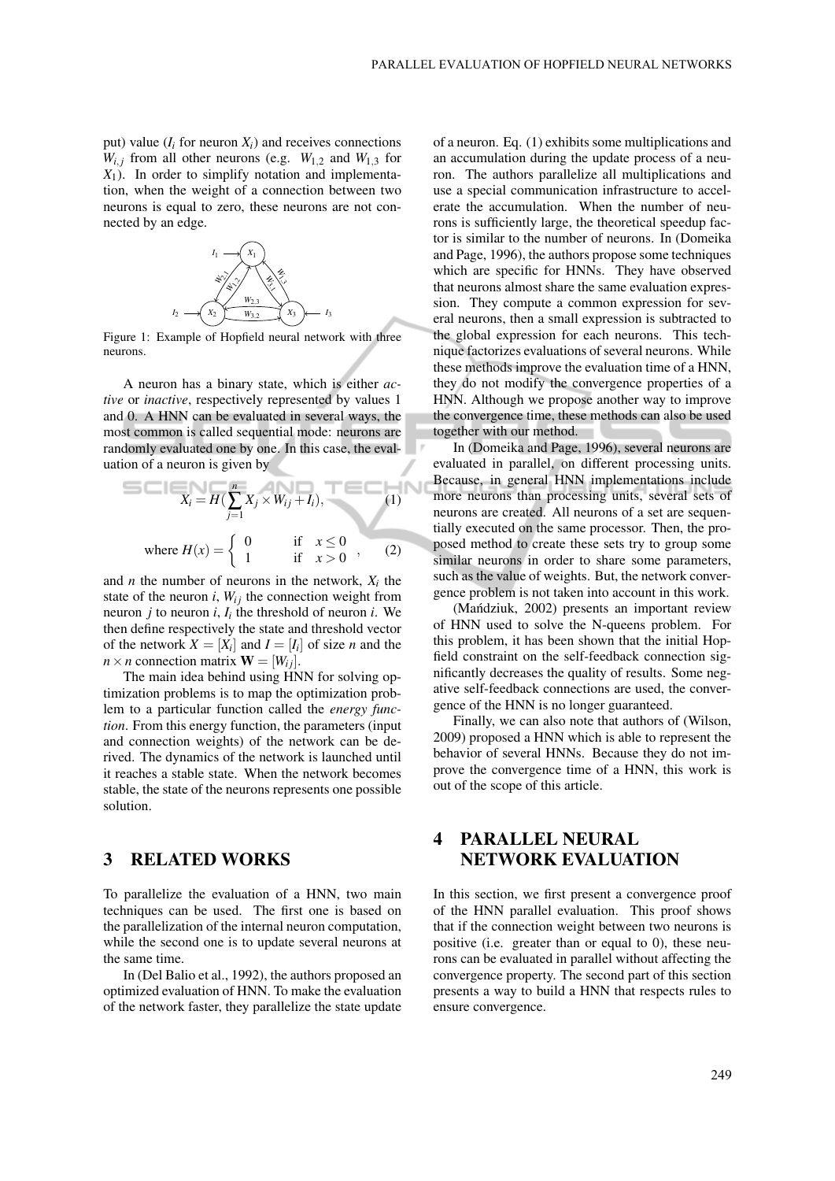put) value  $(I_i$  for neuron  $X_i$ ) and receives connections  $W_{i,j}$  from all other neurons (e.g.  $W_{1,2}$  and  $W_{1,3}$  for *X*1). In order to simplify notation and implementation, when the weight of a connection between two neurons is equal to zero, these neurons are not connected by an edge.



Figure 1: Example of Hopfield neural network with three neurons.

A neuron has a binary state, which is either *active* or *inactive*, respectively represented by values 1 and 0. A HNN can be evaluated in several ways, the most common is called sequential mode: neurons are randomly evaluated one by one. In this case, the evaluation of a neuron is given by

$$
X_i = H\left(\sum_{j=1}^n X_j \times W_{ij} + I_i\right),\tag{1}
$$
\n
$$
\text{where } H(x) = \begin{cases} 0 & \text{if } x \le 0 \\ 1 & \text{if } x > 0 \end{cases},\tag{2}
$$

.,

and *n* the number of neurons in the network,  $X_i$  the state of the neuron  $i$ ,  $W_{ij}$  the connection weight from neuron  $j$  to neuron  $i$ ,  $I_i$  the threshold of neuron  $i$ . We then define respectively the state and threshold vector of the network  $X = [X_i]$  and  $I = [I_i]$  of size *n* and the  $n \times n$  connection matrix  $\mathbf{W} = [W_{ij}]$ .

The main idea behind using HNN for solving optimization problems is to map the optimization problem to a particular function called the *energy function*. From this energy function, the parameters (input and connection weights) of the network can be derived. The dynamics of the network is launched until it reaches a stable state. When the network becomes stable, the state of the neurons represents one possible solution.

### 3 RELATED WORKS

To parallelize the evaluation of a HNN, two main techniques can be used. The first one is based on the parallelization of the internal neuron computation, while the second one is to update several neurons at the same time.

In (Del Balio et al., 1992), the authors proposed an optimized evaluation of HNN. To make the evaluation of the network faster, they parallelize the state update of a neuron. Eq. (1) exhibits some multiplications and an accumulation during the update process of a neuron. The authors parallelize all multiplications and use a special communication infrastructure to accelerate the accumulation. When the number of neurons is sufficiently large, the theoretical speedup factor is similar to the number of neurons. In (Domeika and Page, 1996), the authors propose some techniques which are specific for HNNs. They have observed that neurons almost share the same evaluation expression. They compute a common expression for several neurons, then a small expression is subtracted to the global expression for each neurons. This technique factorizes evaluations of several neurons. While these methods improve the evaluation time of a HNN, they do not modify the convergence properties of a HNN. Although we propose another way to improve the convergence time, these methods can also be used together with our method.

In (Domeika and Page, 1996), several neurons are evaluated in parallel, on different processing units. Because, in general HNN implementations include more neurons than processing units, several sets of neurons are created. All neurons of a set are sequentially executed on the same processor. Then, the proposed method to create these sets try to group some similar neurons in order to share some parameters, such as the value of weights. But, the network convergence problem is not taken into account in this work.

(Mańdziuk, 2002) presents an important review of HNN used to solve the N-queens problem. For this problem, it has been shown that the initial Hopfield constraint on the self-feedback connection significantly decreases the quality of results. Some negative self-feedback connections are used, the convergence of the HNN is no longer guaranteed.

Finally, we can also note that authors of (Wilson, 2009) proposed a HNN which is able to represent the behavior of several HNNs. Because they do not improve the convergence time of a HNN, this work is out of the scope of this article.

## 4 PARALLEL NEURAL NETWORK EVALUATION

In this section, we first present a convergence proof of the HNN parallel evaluation. This proof shows that if the connection weight between two neurons is positive (i.e. greater than or equal to 0), these neurons can be evaluated in parallel without affecting the convergence property. The second part of this section presents a way to build a HNN that respects rules to ensure convergence.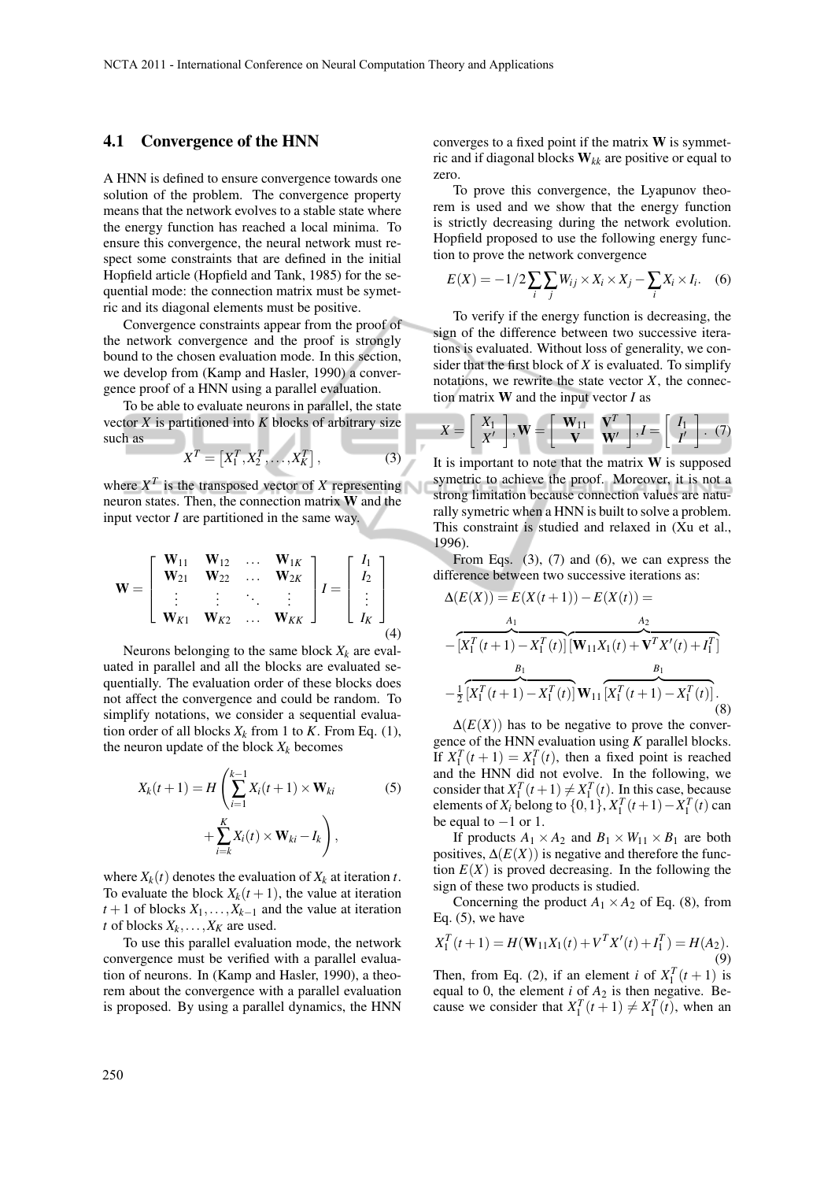#### 4.1 Convergence of the HNN

A HNN is defined to ensure convergence towards one solution of the problem. The convergence property means that the network evolves to a stable state where the energy function has reached a local minima. To ensure this convergence, the neural network must respect some constraints that are defined in the initial Hopfield article (Hopfield and Tank, 1985) for the sequential mode: the connection matrix must be symetric and its diagonal elements must be positive.

Convergence constraints appear from the proof of the network convergence and the proof is strongly bound to the chosen evaluation mode. In this section, we develop from (Kamp and Hasler, 1990) a convergence proof of a HNN using a parallel evaluation.

To be able to evaluate neurons in parallel, the state vector  $X$  is partitioned into  $K$  blocks of arbitrary size such as - A

$$
X^T = \left[ X_1^T, X_2^T, \dots, X_K^T \right],\tag{3}
$$

where  $X^T$  is the transposed vector of X representing neuron states. Then, the connection matrix W and the input vector *I* are partitioned in the same way.

$$
\mathbf{W} = \left[ \begin{array}{cccc} \mathbf{W}_{11} & \mathbf{W}_{12} & \dots & \mathbf{W}_{1K} \\ \mathbf{W}_{21} & \mathbf{W}_{22} & \dots & \mathbf{W}_{2K} \\ \vdots & \vdots & \ddots & \vdots \\ \mathbf{W}_{K1} & \mathbf{W}_{K2} & \dots & \mathbf{W}_{KK} \end{array} \right] I = \left[ \begin{array}{c} I_1 \\ I_2 \\ \vdots \\ I_K \end{array} \right] \tag{4}
$$

Neurons belonging to the same block  $X_k$  are evaluated in parallel and all the blocks are evaluated sequentially. The evaluation order of these blocks does not affect the convergence and could be random. To simplify notations, we consider a sequential evaluation order of all blocks  $X_k$  from 1 to *K*. From Eq. (1), the neuron update of the block  $X_k$  becomes

$$
X_k(t+1) = H\left(\sum_{i=1}^{k-1} X_i(t+1) \times \mathbf{W}_{ki}\right)
$$
  
+ 
$$
\sum_{i=k}^{K} X_i(t) \times \mathbf{W}_{ki} - I_k\right),
$$
 (5)

where  $X_k(t)$  denotes the evaluation of  $X_k$  at iteration *t*. To evaluate the block  $X_k(t+1)$ , the value at iteration  $t+1$  of blocks  $X_1, \ldots, X_{k-1}$  and the value at iteration *t* of blocks  $X_k, \ldots, X_K$  are used.

To use this parallel evaluation mode, the network convergence must be verified with a parallel evaluation of neurons. In (Kamp and Hasler, 1990), a theorem about the convergence with a parallel evaluation is proposed. By using a parallel dynamics, the HNN

converges to a fixed point if the matrix  $W$  is symmetric and if diagonal blocks W*kk* are positive or equal to zero.

To prove this convergence, the Lyapunov theorem is used and we show that the energy function is strictly decreasing during the network evolution. Hopfield proposed to use the following energy function to prove the network convergence

$$
E(X) = -1/2 \sum_{i} \sum_{j} W_{ij} \times X_i \times X_j - \sum_{i} X_i \times I_i.
$$
 (6)

To verify if the energy function is decreasing, the sign of the difference between two successive iterations is evaluated. Without loss of generality, we consider that the first block of *X* is evaluated. To simplify notations, we rewrite the state vector  $X$ , the connection matrix W and the input vector *I* as

$$
X = \left[ \begin{array}{c} X_1 \\ X' \end{array} \right], \mathbf{W} = \left[ \begin{array}{c} \mathbf{W}_{11} & \mathbf{V}^T \\ \mathbf{V} & \mathbf{W}' \end{array} \right], I = \left[ \begin{array}{c} I_1 \\ I' \end{array} \right]. \tag{7}
$$

It is important to note that the matrix  $W$  is supposed symetric to achieve the proof. Moreover, it is not a strong limitation because connection values are naturally symetric when a HNN is built to solve a problem. This constraint is studied and relaxed in (Xu et al., 1996).

From Eqs.  $(3)$ ,  $(7)$  and  $(6)$ , we can express the difference between two successive iterations as:

$$
\Delta(E(X)) = E(X(t+1)) - E(X(t)) =
$$
  
\n
$$
- [X_1^T(t+1) - X_1^T(t)][\mathbf{W}_{11}X_1(t) + \mathbf{V}^T X'(t) + I_1^T]
$$
  
\n
$$
- \frac{B_1}{2} [\overline{X_1^T(t+1)} - \overline{X_1^T(t)}]\mathbf{W}_{11} [\overline{X_1^T(t+1)} - \overline{X_1^T(t)}].
$$
\n(8)

 $\Delta(E(X))$  has to be negative to prove the convergence of the HNN evaluation using *K* parallel blocks. If  $X_1^T(t+1) = X_1^T(t)$ , then a fixed point is reached and the HNN did not evolve. In the following, we consider that  $X_1^T(t+1) \neq X_1^T(t)$ . In this case, because elements of *X<sub>i</sub>* belong to  $\{0, 1\}$ ,  $X_1^T(t+1) - X_1^T(t)$  can be equal to  $-1$  or 1.

If products  $A_1 \times A_2$  and  $B_1 \times W_{11} \times B_1$  are both positives,  $\Delta(E(X))$  is negative and therefore the function  $E(X)$  is proved decreasing. In the following the sign of these two products is studied.

Concerning the product  $A_1 \times A_2$  of Eq. (8), from Eq.  $(5)$ , we have

$$
X_1^T(t+1) = H(\mathbf{W}_{11}X_1(t) + V^T X'(t) + I_1^T) = H(A_2).
$$
\n(9)

Then, from Eq. (2), if an element *i* of  $X_1^T(t+1)$  is equal to 0, the element  $i$  of  $A_2$  is then negative. Because we consider that  $X_1^T(t+1) \neq X_1^T(t)$ , when an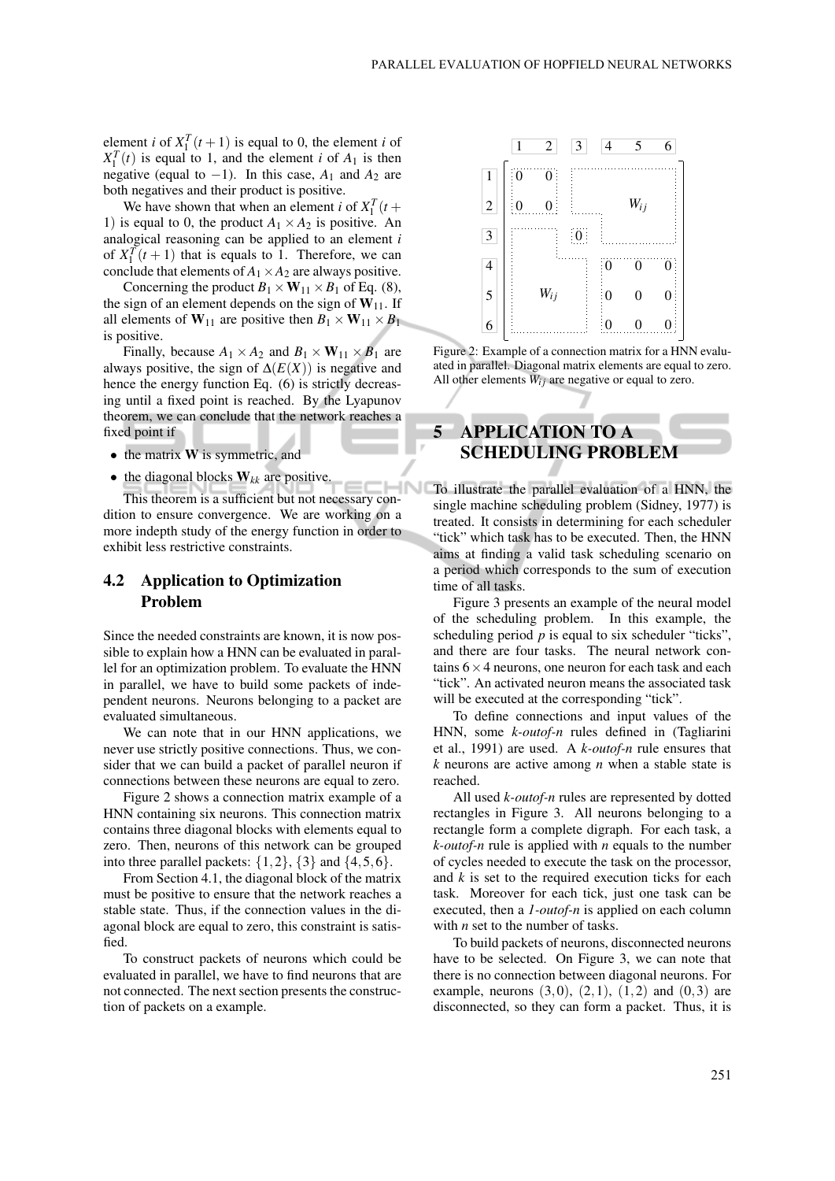element *i* of  $X_1^T(t+1)$  is equal to 0, the element *i* of  $X_1^T(t)$  is equal to 1, and the element *i* of  $A_1$  is then negative (equal to  $-1$ ). In this case,  $A_1$  and  $A_2$  are both negatives and their product is positive.

We have shown that when an element *i* of  $X_1^T(t +$ 1) is equal to 0, the product  $A_1 \times A_2$  is positive. An analogical reasoning can be applied to an element *i* of  $X_1^T(t+1)$  that is equals to 1. Therefore, we can conclude that elements of  $A_1 \times A_2$  are always positive.

Concerning the product  $B_1 \times W_{11} \times B_1$  of Eq. (8), the sign of an element depends on the sign of  $W_{11}$ . If all elements of  $W_{11}$  are positive then  $B_1 \times W_{11} \times B_1$ is positive.

Finally, because  $A_1 \times A_2$  and  $B_1 \times W_{11} \times B_1$  are always positive, the sign of  $\Delta(E(X))$  is negative and hence the energy function Eq. (6) is strictly decreasing until a fixed point is reached. By the Lyapunov theorem, we can conclude that the network reaches a fixed point if

- the matrix **W** is symmetric, and
- the diagonal blocks  $W_{kk}$  are positive.

This theorem is a sufficient but not necessary condition to ensure convergence. We are working on a more indepth study of the energy function in order to exhibit less restrictive constraints.

### 4.2 Application to Optimization Problem

Since the needed constraints are known, it is now possible to explain how a HNN can be evaluated in parallel for an optimization problem. To evaluate the HNN in parallel, we have to build some packets of independent neurons. Neurons belonging to a packet are evaluated simultaneous.

We can note that in our HNN applications, we never use strictly positive connections. Thus, we consider that we can build a packet of parallel neuron if connections between these neurons are equal to zero.

Figure 2 shows a connection matrix example of a HNN containing six neurons. This connection matrix contains three diagonal blocks with elements equal to zero. Then, neurons of this network can be grouped into three parallel packets:  $\{1,2\}$ ,  $\{3\}$  and  $\{4,5,6\}$ .

From Section 4.1, the diagonal block of the matrix must be positive to ensure that the network reaches a stable state. Thus, if the connection values in the diagonal block are equal to zero, this constraint is satisfied.

To construct packets of neurons which could be evaluated in parallel, we have to find neurons that are not connected. The next section presents the construction of packets on a example.



Figure 2: Example of a connection matrix for a HNN evaluated in parallel. Diagonal matrix elements are equal to zero. All other elements  $W_{ij}$  are negative or equal to zero.

# 5 APPLICATION TO A SCHEDULING PROBLEM

To illustrate the parallel evaluation of a HNN, the single machine scheduling problem (Sidney, 1977) is treated. It consists in determining for each scheduler "tick" which task has to be executed. Then, the HNN aims at finding a valid task scheduling scenario on a period which corresponds to the sum of execution time of all tasks.

Figure 3 presents an example of the neural model of the scheduling problem. In this example, the scheduling period  $p$  is equal to six scheduler "ticks", and there are four tasks. The neural network contains  $6 \times 4$  neurons, one neuron for each task and each "tick". An activated neuron means the associated task will be executed at the corresponding "tick".

To define connections and input values of the HNN, some *k-outof-n* rules defined in (Tagliarini et al., 1991) are used. A *k-outof-n* rule ensures that *k* neurons are active among *n* when a stable state is reached.

All used *k-outof-n* rules are represented by dotted rectangles in Figure 3. All neurons belonging to a rectangle form a complete digraph. For each task, a *k-outof-n* rule is applied with *n* equals to the number of cycles needed to execute the task on the processor, and *k* is set to the required execution ticks for each task. Moreover for each tick, just one task can be executed, then a *1-outof-n* is applied on each column with *n* set to the number of tasks.

To build packets of neurons, disconnected neurons have to be selected. On Figure 3, we can note that there is no connection between diagonal neurons. For example, neurons  $(3,0)$ ,  $(2,1)$ ,  $(1,2)$  and  $(0,3)$  are disconnected, so they can form a packet. Thus, it is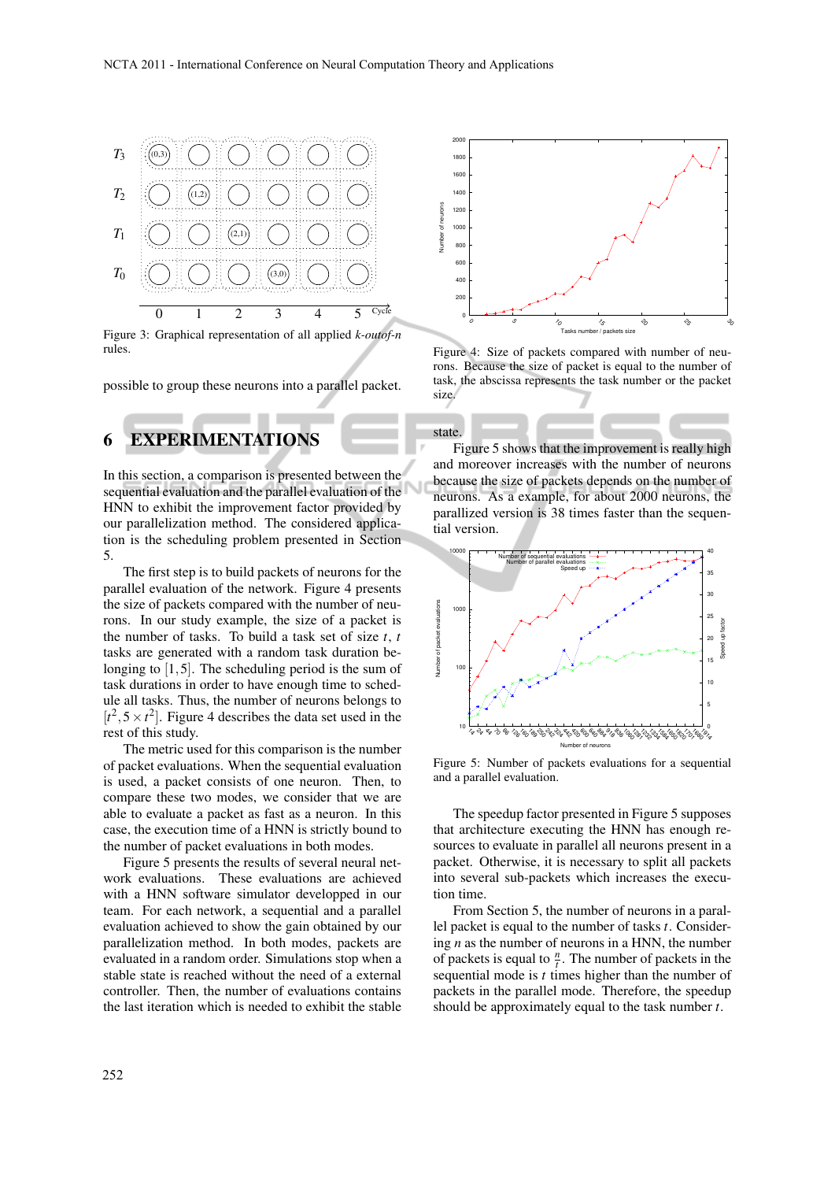

Figure 3: Graphical representation of all applied *k-outof-n* rules.

possible to group these neurons into a parallel packet.

# 6 EXPERIMENTATIONS

In this section, a comparison is presented between the sequential evaluation and the parallel evaluation of the HNN to exhibit the improvement factor provided by our parallelization method. The considered application is the scheduling problem presented in Section 5.

The first step is to build packets of neurons for the parallel evaluation of the network. Figure 4 presents the size of packets compared with the number of neurons. In our study example, the size of a packet is the number of tasks. To build a task set of size *t*, *t* tasks are generated with a random task duration belonging to [1,5]. The scheduling period is the sum of task durations in order to have enough time to schedule all tasks. Thus, the number of neurons belongs to  $[t^2, 5 \times t^2]$ . Figure 4 describes the data set used in the rest of this study.

The metric used for this comparison is the number of packet evaluations. When the sequential evaluation is used, a packet consists of one neuron. Then, to compare these two modes, we consider that we are able to evaluate a packet as fast as a neuron. In this case, the execution time of a HNN is strictly bound to the number of packet evaluations in both modes.

Figure 5 presents the results of several neural network evaluations. These evaluations are achieved with a HNN software simulator developped in our team. For each network, a sequential and a parallel evaluation achieved to show the gain obtained by our parallelization method. In both modes, packets are evaluated in a random order. Simulations stop when a stable state is reached without the need of a external controller. Then, the number of evaluations contains the last iteration which is needed to exhibit the stable



Figure 4: Size of packets compared with number of neurons. Because the size of packet is equal to the number of task, the abscissa represents the task number or the packet size.

state.

Figure 5 shows that the improvement is really high and moreover increases with the number of neurons because the size of packets depends on the number of neurons. As a example, for about 2000 neurons, the parallized version is 38 times faster than the sequential version.



Figure 5: Number of packets evaluations for a sequential and a parallel evaluation.

The speedup factor presented in Figure 5 supposes that architecture executing the HNN has enough resources to evaluate in parallel all neurons present in a packet. Otherwise, it is necessary to split all packets into several sub-packets which increases the execution time.

From Section 5, the number of neurons in a parallel packet is equal to the number of tasks *t*. Considering *n* as the number of neurons in a HNN, the number of packets is equal to  $\frac{n}{t}$ . The number of packets in the sequential mode is *t* times higher than the number of packets in the parallel mode. Therefore, the speedup should be approximately equal to the task number *t*.